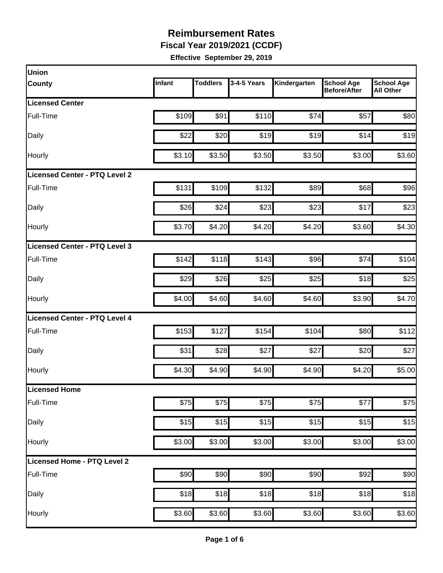**Fiscal Year 2019/2021 (CCDF)**

| Infant | <b>Toddlers</b> | 3-4-5 Years                                                                     | Kindergarten                                                                                                                               | <b>School Age</b><br><b>Before/After</b> | <b>School Age</b><br><b>All Other</b>                                                                                                             |
|--------|-----------------|---------------------------------------------------------------------------------|--------------------------------------------------------------------------------------------------------------------------------------------|------------------------------------------|---------------------------------------------------------------------------------------------------------------------------------------------------|
|        |                 |                                                                                 |                                                                                                                                            |                                          |                                                                                                                                                   |
| \$109  | \$91            | \$110                                                                           |                                                                                                                                            | \$57                                     | \$80                                                                                                                                              |
| \$22   |                 | \$19                                                                            |                                                                                                                                            | \$14                                     | \$19                                                                                                                                              |
|        |                 | \$3.50                                                                          |                                                                                                                                            | \$3.00                                   | \$3.60                                                                                                                                            |
|        |                 |                                                                                 |                                                                                                                                            |                                          |                                                                                                                                                   |
| \$131  |                 | \$132                                                                           |                                                                                                                                            | \$68                                     | \$96                                                                                                                                              |
| \$26   |                 | \$23                                                                            |                                                                                                                                            | \$17                                     | \$23                                                                                                                                              |
|        |                 | \$4.20                                                                          |                                                                                                                                            | \$3.60                                   | \$4.30                                                                                                                                            |
|        |                 |                                                                                 |                                                                                                                                            |                                          |                                                                                                                                                   |
| \$142  |                 | \$143                                                                           |                                                                                                                                            | \$74                                     | \$104                                                                                                                                             |
| \$29   |                 | \$25                                                                            |                                                                                                                                            | \$18                                     | \$25                                                                                                                                              |
| \$4.00 |                 | \$4.60                                                                          |                                                                                                                                            | \$3.90                                   | \$4.70                                                                                                                                            |
|        |                 |                                                                                 |                                                                                                                                            |                                          |                                                                                                                                                   |
|        | \$127           | \$154                                                                           |                                                                                                                                            | \$80                                     | \$112                                                                                                                                             |
| \$31   |                 | \$27                                                                            | \$27                                                                                                                                       | \$20                                     | \$27                                                                                                                                              |
|        |                 | \$4.90                                                                          |                                                                                                                                            | \$4.20                                   | \$5.00                                                                                                                                            |
|        |                 |                                                                                 |                                                                                                                                            |                                          |                                                                                                                                                   |
| \$75   |                 | \$75                                                                            |                                                                                                                                            | \$77                                     | \$75                                                                                                                                              |
|        |                 | \$15                                                                            |                                                                                                                                            | \$15                                     | \$15                                                                                                                                              |
|        |                 | \$3.00                                                                          |                                                                                                                                            | \$3.00                                   | \$3.00                                                                                                                                            |
|        |                 |                                                                                 |                                                                                                                                            |                                          |                                                                                                                                                   |
|        |                 | \$90                                                                            |                                                                                                                                            | \$92                                     | \$90                                                                                                                                              |
|        |                 |                                                                                 |                                                                                                                                            | \$18                                     | \$18                                                                                                                                              |
|        |                 |                                                                                 |                                                                                                                                            | \$3.60                                   | \$3.60                                                                                                                                            |
|        |                 | \$3.10<br>\$3.70<br>\$153<br>\$4.30<br>\$15<br>\$3.00<br>\$90<br>\$18<br>\$3.60 | \$20<br>\$3.50<br>\$109<br>\$24<br>\$4.20<br>\$118<br>\$26<br>\$4.60<br>\$28<br>\$4.90<br>\$75<br>\$15<br>\$3.00<br>\$90<br>\$18<br>\$3.60 | \$18<br>\$3.60                           | \$74<br>\$19<br>\$3.50<br>\$89<br>\$23<br>\$4.20<br>\$96<br>\$25<br>\$4.60<br>\$104<br>\$4.90<br>\$75<br>\$15<br>\$3.00<br>\$90<br>\$18<br>\$3.60 |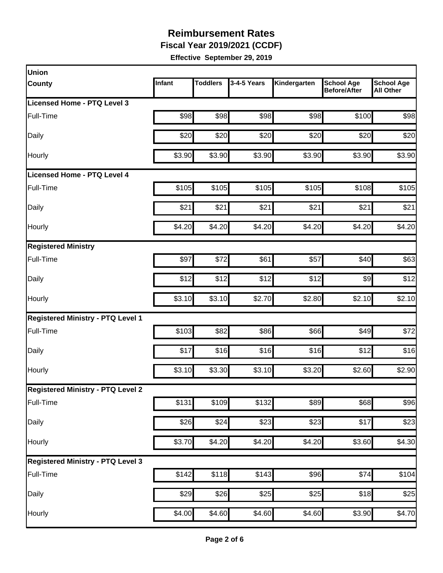**Fiscal Year 2019/2021 (CCDF)**

| Union                                    |        |                 |                  |                    |                                          |                                       |
|------------------------------------------|--------|-----------------|------------------|--------------------|------------------------------------------|---------------------------------------|
| <b>County</b>                            | Infant | <b>Toddlers</b> | 3-4-5 Years      | Kindergarten       | <b>School Age</b><br><b>Before/After</b> | <b>School Age</b><br><b>All Other</b> |
| <b>Licensed Home - PTQ Level 3</b>       |        |                 |                  |                    |                                          |                                       |
| Full-Time                                | \$98   | \$98            | \$98             | \$98               | \$100                                    | \$98                                  |
| Daily                                    | \$20   | \$20            | \$20             | \$20               | \$20                                     | \$20                                  |
| Hourly                                   | \$3.90 | \$3.90          | \$3.90           | \$3.90             | \$3.90                                   | \$3.90                                |
| Licensed Home - PTQ Level 4              |        |                 |                  |                    |                                          |                                       |
| Full-Time                                | \$105  | \$105           | \$105            | \$105              | \$108                                    | \$105                                 |
| Daily                                    | \$21   | \$21            | \$21             | \$21               | \$21                                     | \$21                                  |
| Hourly                                   | \$4.20 | \$4.20          | \$4.20           | \$4.20             | \$4.20                                   | \$4.20                                |
| <b>Registered Ministry</b>               |        |                 |                  |                    |                                          |                                       |
| Full-Time                                | \$97   | \$72            | \$61             | \$57               | \$40                                     | \$63                                  |
| Daily                                    | \$12   | \$12            | \$12             | \$12               | $\frac{1}{9}$                            | \$12                                  |
| Hourly                                   | \$3.10 | \$3.10          | \$2.70           | \$2.80             | \$2.10                                   | \$2.10                                |
| <b>Registered Ministry - PTQ Level 1</b> |        |                 |                  |                    |                                          |                                       |
| Full-Time                                | \$103  | \$82            | \$86             | \$66               | \$49                                     | \$72                                  |
| Daily                                    | \$17   | \$16            | \$16             | \$16               | \$12                                     | \$16                                  |
| Hourly                                   | \$3.10 | \$3.30          | \$3.10           | \$3.20             | \$2.60                                   | \$2.90                                |
| <b>Registered Ministry - PTQ Level 2</b> |        |                 |                  |                    |                                          |                                       |
| Full-Time                                | \$131  | \$109           | \$132            | \$89               | \$68                                     | \$96                                  |
| Daily                                    | \$26   | \$24            | $\overline{$}23$ | \$23               | \$17                                     | \$23                                  |
| Hourly                                   | \$3.70 | \$4.20          | \$4.20           | \$4.20             | \$3.60                                   | \$4.30                                |
| <b>Registered Ministry - PTQ Level 3</b> |        |                 |                  |                    |                                          |                                       |
| Full-Time                                | \$142  | \$118           | \$143            | \$96               | \$74                                     | \$104                                 |
| Daily                                    | \$29   | \$26            | \$25             | \$25               | \$18                                     | \$25                                  |
| Hourly                                   | \$4.00 | \$4.60          | \$4.60           | $\overline{$}4.60$ | \$3.90                                   | \$4.70                                |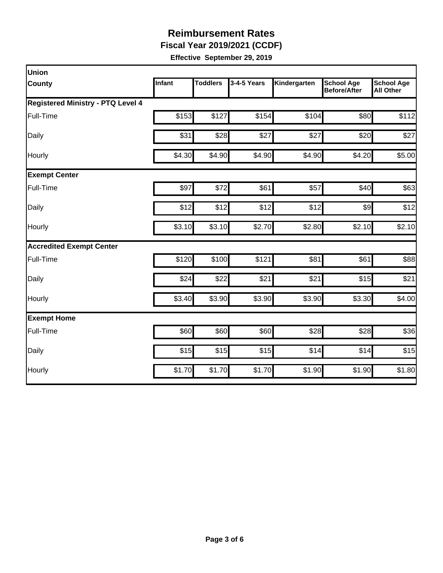**Fiscal Year 2019/2021 (CCDF)**

| Union                                    |        |                 |             |              |                                          |                                       |
|------------------------------------------|--------|-----------------|-------------|--------------|------------------------------------------|---------------------------------------|
| <b>County</b>                            | Infant | <b>Toddlers</b> | 3-4-5 Years | Kindergarten | <b>School Age</b><br><b>Before/After</b> | <b>School Age</b><br><b>All Other</b> |
| <b>Registered Ministry - PTQ Level 4</b> |        |                 |             |              |                                          |                                       |
| Full-Time                                | \$153  | \$127           | \$154       | \$104        | \$80                                     | \$112                                 |
| Daily                                    | \$31   | \$28            | \$27        | \$27         | \$20                                     | \$27                                  |
| Hourly                                   | \$4.30 | \$4.90          | \$4.90      | \$4.90       | \$4.20                                   | \$5.00                                |
| <b>Exempt Center</b>                     |        |                 |             |              |                                          |                                       |
| Full-Time                                | \$97   | \$72            | \$61        | \$57         | \$40                                     | \$63                                  |
| Daily                                    | \$12   | \$12            | \$12        | \$12         | $\frac{1}{2}$                            | \$12                                  |
| Hourly                                   | \$3.10 | \$3.10          | \$2.70      | \$2.80       | \$2.10                                   | \$2.10                                |
| <b>Accredited Exempt Center</b>          |        |                 |             |              |                                          |                                       |
| Full-Time                                | \$120  | \$100           | \$121       | \$81         | \$61                                     | \$88                                  |
| Daily                                    | \$24   | \$22            | \$21        | \$21         | \$15                                     | \$21                                  |
| Hourly                                   | \$3.40 | \$3.90          | \$3.90      | \$3.90       | \$3.30                                   | \$4.00                                |
| <b>Exempt Home</b>                       |        |                 |             |              |                                          |                                       |
| Full-Time                                | \$60   | \$60            | \$60        | \$28         | \$28                                     | \$36                                  |
| Daily                                    | \$15   | \$15            | \$15        | \$14         | \$14                                     | \$15                                  |
| Hourly                                   | \$1.70 | \$1.70          | \$1.70      | \$1.90       | \$1.90                                   | \$1.80                                |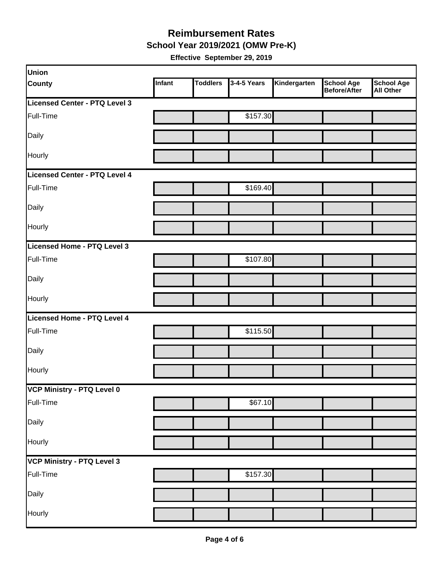#### **School Year 2019/2021 (OMW Pre-K) Reimbursement Rates**

| Union                         |        |                 |             |              |                                   |                                       |
|-------------------------------|--------|-----------------|-------------|--------------|-----------------------------------|---------------------------------------|
| <b>County</b>                 | Infant | <b>Toddlers</b> | 3-4-5 Years | Kindergarten | <b>School Age</b><br>Before/After | <b>School Age</b><br><b>All Other</b> |
| Licensed Center - PTQ Level 3 |        |                 |             |              |                                   |                                       |
| Full-Time                     |        |                 | \$157.30    |              |                                   |                                       |
| Daily                         |        |                 |             |              |                                   |                                       |
| Hourly                        |        |                 |             |              |                                   |                                       |
| Licensed Center - PTQ Level 4 |        |                 |             |              |                                   |                                       |
| Full-Time                     |        |                 | \$169.40    |              |                                   |                                       |
| Daily                         |        |                 |             |              |                                   |                                       |
| Hourly                        |        |                 |             |              |                                   |                                       |
| Licensed Home - PTQ Level 3   |        |                 |             |              |                                   |                                       |
| Full-Time                     |        |                 | \$107.80    |              |                                   |                                       |
| Daily                         |        |                 |             |              |                                   |                                       |
| Hourly                        |        |                 |             |              |                                   |                                       |
| Licensed Home - PTQ Level 4   |        |                 |             |              |                                   |                                       |
| Full-Time                     |        |                 | \$115.50    |              |                                   |                                       |
| Daily                         |        |                 |             |              |                                   |                                       |
| Hourly                        |        |                 |             |              |                                   |                                       |
| VCP Ministry - PTQ Level 0    |        |                 |             |              |                                   |                                       |
| Full-Time                     |        |                 | \$67.10     |              |                                   |                                       |
| Daily                         |        |                 |             |              |                                   |                                       |
| Hourly                        |        |                 |             |              |                                   |                                       |
| VCP Ministry - PTQ Level 3    |        |                 |             |              |                                   |                                       |
| Full-Time                     |        |                 | \$157.30    |              |                                   |                                       |
| Daily                         |        |                 |             |              |                                   |                                       |
| Hourly                        |        |                 |             |              |                                   |                                       |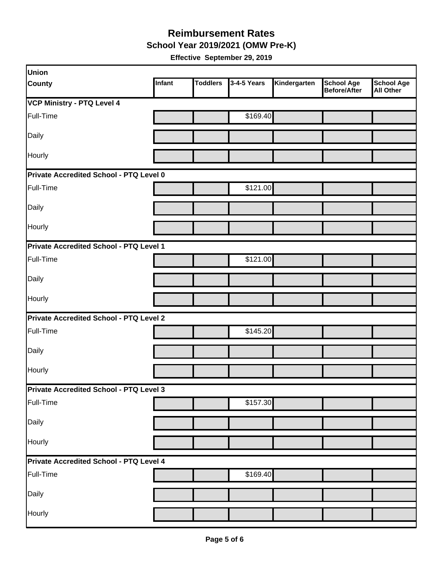**School Year 2019/2021 (OMW Pre-K)**

| Union                                   |        |                 |             |              |                                          |                                       |
|-----------------------------------------|--------|-----------------|-------------|--------------|------------------------------------------|---------------------------------------|
| <b>County</b>                           | Infant | <b>Toddlers</b> | 3-4-5 Years | Kindergarten | <b>School Age</b><br><b>Before/After</b> | <b>School Age</b><br><b>All Other</b> |
| <b>VCP Ministry - PTQ Level 4</b>       |        |                 |             |              |                                          |                                       |
| Full-Time                               |        |                 | \$169.40    |              |                                          |                                       |
| Daily                                   |        |                 |             |              |                                          |                                       |
| Hourly                                  |        |                 |             |              |                                          |                                       |
| Private Accredited School - PTQ Level 0 |        |                 |             |              |                                          |                                       |
| Full-Time                               |        |                 | \$121.00    |              |                                          |                                       |
| Daily                                   |        |                 |             |              |                                          |                                       |
| Hourly                                  |        |                 |             |              |                                          |                                       |
| Private Accredited School - PTQ Level 1 |        |                 |             |              |                                          |                                       |
| Full-Time                               |        |                 | \$121.00    |              |                                          |                                       |
| Daily                                   |        |                 |             |              |                                          |                                       |
| Hourly                                  |        |                 |             |              |                                          |                                       |
| Private Accredited School - PTQ Level 2 |        |                 |             |              |                                          |                                       |
| Full-Time                               |        |                 | \$145.20    |              |                                          |                                       |
| Daily                                   |        |                 |             |              |                                          |                                       |
| Hourly                                  |        |                 |             |              |                                          |                                       |
| Private Accredited School - PTQ Level 3 |        |                 |             |              |                                          |                                       |
| Full-Time                               |        |                 | \$157.30    |              |                                          |                                       |
| Daily                                   |        |                 |             |              |                                          |                                       |
| Hourly                                  |        |                 |             |              |                                          |                                       |
| Private Accredited School - PTQ Level 4 |        |                 |             |              |                                          |                                       |
| Full-Time                               |        |                 | \$169.40    |              |                                          |                                       |
| Daily                                   |        |                 |             |              |                                          |                                       |
| Hourly                                  |        |                 |             |              |                                          |                                       |